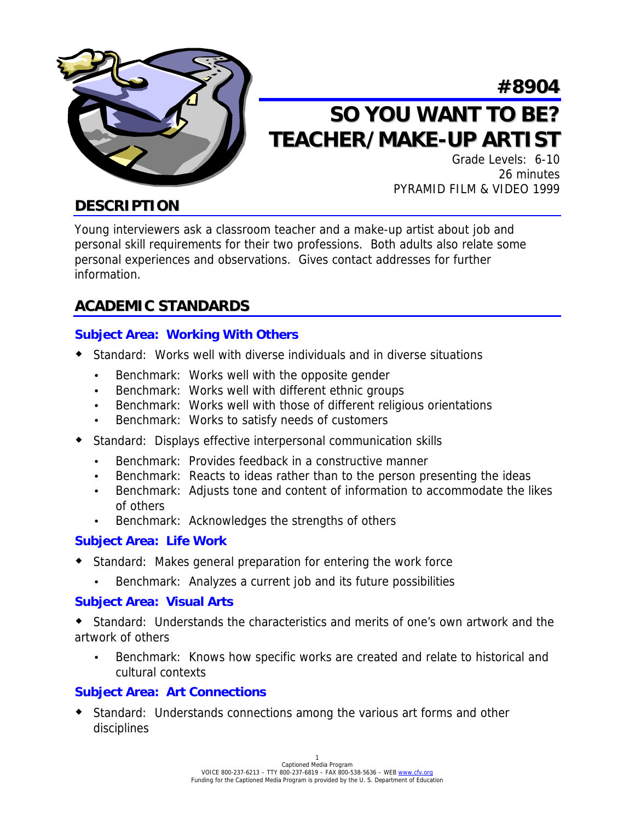

## **#8904**

# **SO YOU WANT TO BE? TEACHER/MAKE-UP ARTIST**

Grade Levels: 6-10 26 minutes PYRAMID FILM & VIDEO 1999

### **DESCRIPTION**

Young interviewers ask a classroom teacher and a make-up artist about job and personal skill requirements for their two professions. Both adults also relate some personal experiences and observations. Gives contact addresses for further information.

### **ACADEMIC STANDARDS**

#### **Subject Area: Working With Others**

- ! Standard: Works well with diverse individuals and in diverse situations
	- Benchmark: Works well with the opposite gender
	- Benchmark: Works well with different ethnic groups
	- Benchmark: Works well with those of different religious orientations
	- Benchmark: Works to satisfy needs of customers
- ! Standard: Displays effective interpersonal communication skills
	- Benchmark: Provides feedback in a constructive manner
	- Benchmark: Reacts to ideas rather than to the person presenting the ideas
	- Benchmark: Adjusts tone and content of information to accommodate the likes of others
	- Benchmark: Acknowledges the strengths of others

#### **Subject Area: Life Work**

- ! Standard: Makes general preparation for entering the work force
	- Benchmark: Analyzes a current job and its future possibilities

#### **Subject Area: Visual Arts**

! Standard: Understands the characteristics and merits of one's own artwork and the artwork of others

• Benchmark: Knows how specific works are created and relate to historical and cultural contexts

#### **Subject Area: Art Connections**

! Standard: Understands connections among the various art forms and other disciplines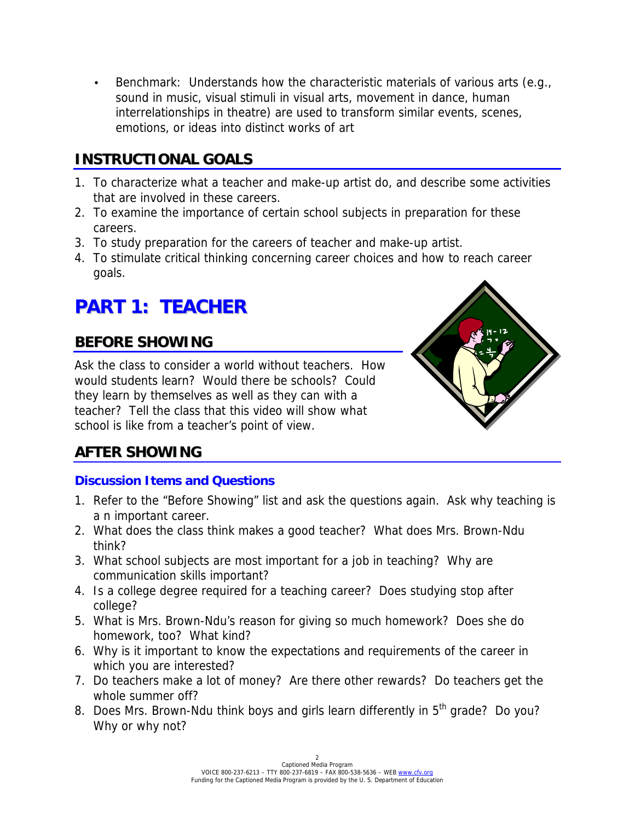• Benchmark: Understands how the characteristic materials of various arts (e.g., sound in music, visual stimuli in visual arts, movement in dance, human interrelationships in theatre) are used to transform similar events, scenes, emotions, or ideas into distinct works of art

## **INSTRUCTIONAL GOALS**

- 1. To characterize what a teacher and make-up artist do, and describe some activities that are involved in these careers.
- 2. To examine the importance of certain school subjects in preparation for these careers.
- 3. To study preparation for the careers of teacher and make-up artist.
- 4. To stimulate critical thinking concerning career choices and how to reach career goals.

## **PART 1: TEACHER**

## **BEFORE SHOWING**

Ask the class to consider a world without teachers. How would students learn? Would there be schools? Could they learn by themselves as well as they can with a teacher? Tell the class that this video will show what school is like from a teacher's point of view.



## **AFTER SHOWING**

#### **Discussion Items and Questions**

- 1. Refer to the "Before Showing" list and ask the questions again. Ask why teaching is a n important career.
- 2. What does the class think makes a good teacher? What does Mrs. Brown-Ndu think?
- 3. What school subjects are most important for a job in teaching? Why are communication skills important?
- 4. Is a college degree required for a teaching career? Does studying stop after college?
- 5. What is Mrs. Brown-Ndu's reason for giving so much homework? Does she do homework, too? What kind?
- 6. Why is it important to know the expectations and requirements of the career in which you are interested?
- 7. Do teachers make a lot of money? Are there other rewards? Do teachers get the whole summer off?
- 8. Does Mrs. Brown-Ndu think boys and girls learn differently in 5<sup>th</sup> grade? Do you? Why or why not?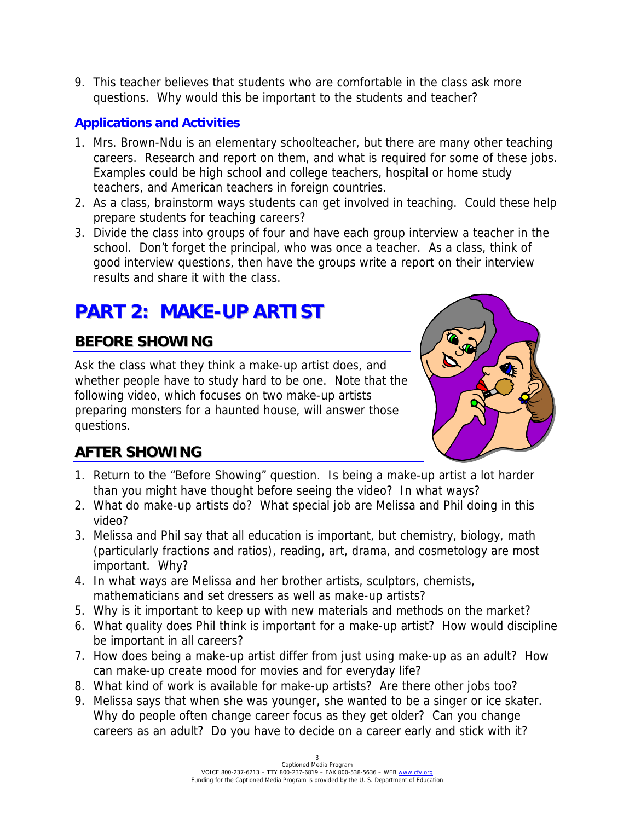9. This teacher believes that students who are comfortable in the class ask more questions. Why would this be important to the students and teacher?

#### **Applications and Activities**

- 1. Mrs. Brown-Ndu is an elementary schoolteacher, but there are many other teaching careers. Research and report on them, and what is required for some of these jobs. Examples could be high school and college teachers, hospital or home study teachers, and American teachers in foreign countries.
- 2. As a class, brainstorm ways students can get involved in teaching. Could these help prepare students for teaching careers?
- 3. Divide the class into groups of four and have each group interview a teacher in the school. Don't forget the principal, who was once a teacher. As a class, think of good interview questions, then have the groups write a report on their interview results and share it with the class.

## **PART 2: MAKE-UP ARTIST**

## **BEFORE SHOWING**

Ask the class what they think a make-up artist does, and whether people have to study hard to be one. Note that the following video, which focuses on two make-up artists preparing monsters for a haunted house, will answer those questions.



## **AFTER SHOWING**

- 1. Return to the "Before Showing" question. Is being a make-up artist a lot harder than you might have thought before seeing the video? In what ways?
- 2. What do make-up artists do? What special job are Melissa and Phil doing in this video?
- 3. Melissa and Phil say that all education is important, but chemistry, biology, math (particularly fractions and ratios), reading, art, drama, and cosmetology are most important. Why?
- 4. In what ways are Melissa and her brother artists, sculptors, chemists, mathematicians and set dressers as well as make-up artists?
- 5. Why is it important to keep up with new materials and methods on the market?
- 6. What quality does Phil think is important for a make-up artist? How would discipline be important in all careers?
- 7. How does being a make-up artist differ from just using make-up as an adult? How can make-up create mood for movies and for everyday life?
- 8. What kind of work is available for make-up artists? Are there other jobs too?
- 9. Melissa says that when she was younger, she wanted to be a singer or ice skater. Why do people often change career focus as they get older? Can you change careers as an adult? Do you have to decide on a career early and stick with it?